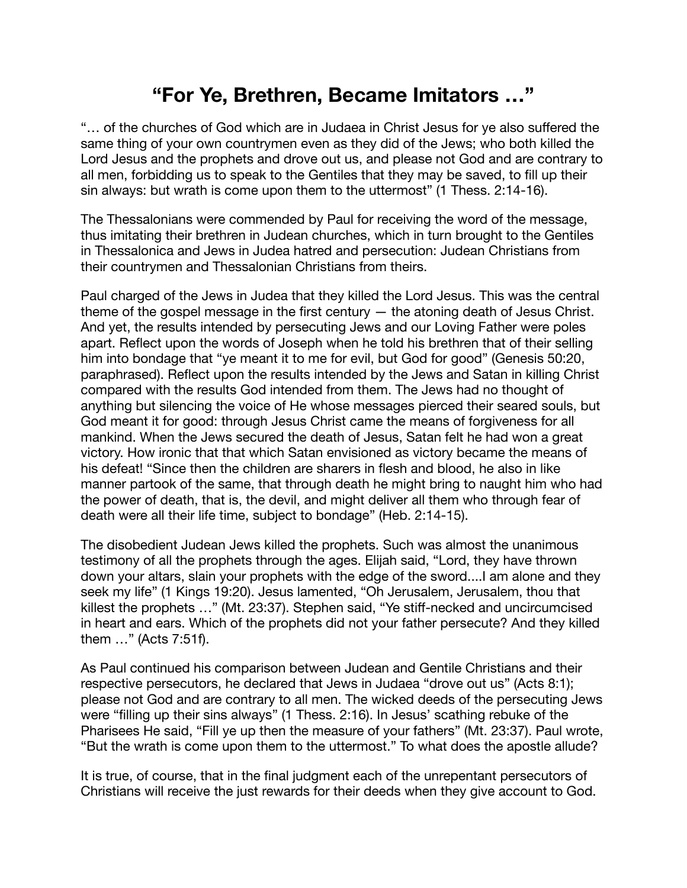## **"For Ye, Brethren, Became Imitators …"**

"… of the churches of God which are in Judaea in Christ Jesus for ye also suffered the same thing of your own countrymen even as they did of the Jews; who both killed the Lord Jesus and the prophets and drove out us, and please not God and are contrary to all men, forbidding us to speak to the Gentiles that they may be saved, to fill up their sin always: but wrath is come upon them to the uttermost" (1 Thess. 2:14-16).

The Thessalonians were commended by Paul for receiving the word of the message, thus imitating their brethren in Judean churches, which in turn brought to the Gentiles in Thessalonica and Jews in Judea hatred and persecution: Judean Christians from their countrymen and Thessalonian Christians from theirs.

Paul charged of the Jews in Judea that they killed the Lord Jesus. This was the central theme of the gospel message in the first century — the atoning death of Jesus Christ. And yet, the results intended by persecuting Jews and our Loving Father were poles apart. Reflect upon the words of Joseph when he told his brethren that of their selling him into bondage that "ye meant it to me for evil, but God for good" (Genesis 50:20, paraphrased). Reflect upon the results intended by the Jews and Satan in killing Christ compared with the results God intended from them. The Jews had no thought of anything but silencing the voice of He whose messages pierced their seared souls, but God meant it for good: through Jesus Christ came the means of forgiveness for all mankind. When the Jews secured the death of Jesus, Satan felt he had won a great victory. How ironic that that which Satan envisioned as victory became the means of his defeat! "Since then the children are sharers in flesh and blood, he also in like manner partook of the same, that through death he might bring to naught him who had the power of death, that is, the devil, and might deliver all them who through fear of death were all their life time, subject to bondage" (Heb. 2:14-15).

The disobedient Judean Jews killed the prophets. Such was almost the unanimous testimony of all the prophets through the ages. Elijah said, "Lord, they have thrown down your altars, slain your prophets with the edge of the sword....I am alone and they seek my life" (1 Kings 19:20). Jesus lamented, "Oh Jerusalem, Jerusalem, thou that killest the prophets …" (Mt. 23:37). Stephen said, "Ye stiff-necked and uncircumcised in heart and ears. Which of the prophets did not your father persecute? And they killed them …" (Acts 7:51f).

As Paul continued his comparison between Judean and Gentile Christians and their respective persecutors, he declared that Jews in Judaea "drove out us" (Acts 8:1); please not God and are contrary to all men. The wicked deeds of the persecuting Jews were "filling up their sins always" (1 Thess. 2:16). In Jesus' scathing rebuke of the Pharisees He said, "Fill ye up then the measure of your fathers" (Mt. 23:37). Paul wrote, "But the wrath is come upon them to the uttermost." To what does the apostle allude?

It is true, of course, that in the final judgment each of the unrepentant persecutors of Christians will receive the just rewards for their deeds when they give account to God.